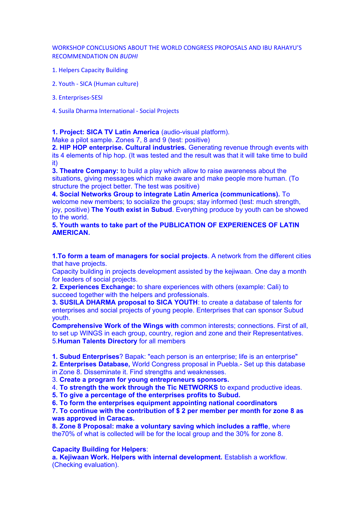WORKSHOP CONCLUSIONS ABOUT THE WORLD CONGRESS PROPOSALS AND IBU RAHAYU'S RECOMMENDATION ON *BUDHI*

- 1. Helpers Capacity Building
- 2. Youth SICA (Human culture)
- 3. Enterprises-SESI

4. Susila Dharma International - Social Projects

**1. Project: SICA TV Latin America** (audio-visual platform).

Make a pilot sample. Zones 7, 8 and 9 (test: positive)

**2. HIP HOP enterprise. Cultural industries.** Generating revenue through events with its 4 elements of hip hop. (It was tested and the result was that it will take time to build it)

**3. Theatre Company:** to build a play which allow to raise awareness about the situations, giving messages which make aware and make people more human. (To structure the project better. The test was positive)

**4. Social Networks Group to integrate Latin America (communications).** To welcome new members; to socialize the groups; stay informed (test: much strength, joy, positive) **The Youth exist in Subud**. Everything produce by youth can be showed to the world.

**5. Youth wants to take part of the PUBLICATION OF EXPERIENCES OF LATIN AMERICAN.**

**1.To form a team of managers for social projects**. A network from the different cities that have projects.

Capacity building in projects development assisted by the kejiwaan. One day a month for leaders of social projects.

**2. Experiences Exchange:** to share experiences with others (example: Cali) to succeed together with the helpers and professionals.

**3. SUSILA DHARMA proposal to SICA YOUTH**: to create a database of talents for enterprises and social projects of young people. Enterprises that can sponsor Subud youth.

**Comprehensive Work of the Wings with** common interests; connections. First of all, to set up WINGS in each group, country, region and zone and their Representatives. 5.**Human Talents Directory** for all members

**1. Subud Enterprises**? Bapak: "each person is an enterprise; life is an enterprise"

**2. Enterprises Database,** World Congress proposal in Puebla.- Set up this database

in Zone 8. Disseminate it. Find strengths and weaknesses.

3. **Create a program for young entrepreneurs sponsors.**

4. **To strength the work through the Tic NETWORKS** to expand productive ideas.

**5. To give a percentage of the enterprises profits to Subud.**

**6. To form the enterprises equipment appointing national coordinators**

**7. To continue with the contribution of \$ 2 per member per month for zone 8 as was approved in Caracas.**

**8. Zone 8 Proposal: make a voluntary saving which includes a raffle**, where the70% of what is collected will be for the local group and the 30% for zone 8.

# **Capacity Building for Helpers**:

**a. Kejiwaan Work. Helpers with internal development.** Establish a workflow. (Checking evaluation).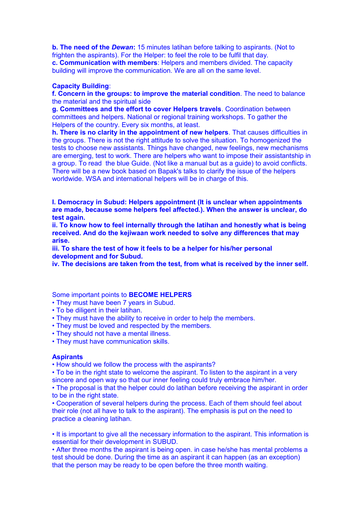**b. The need of the** *Dewan***:** 15 minutes latihan before talking to aspirants. (Not to frighten the aspirants). For the Helper: to feel the role to be fulfil that day. **c. Communication with members**: Helpers and members divided. The capacity building will improve the communication. We are all on the same level.

### **Capacity Building**:

**f. Concern in the groups: to improve the material condition**. The need to balance the material and the spiritual side

**g. Committees and the effort to cover Helpers travels**. Coordination between committees and helpers. National or regional training workshops. To gather the Helpers of the country. Every six months, at least.

**h. There is no clarity in the appointment of new helpers**. That causes difficulties in the groups. There is not the right attitude to solve the situation. To homogenized the tests to choose new assistants. Things have changed, new feelings, new mechanisms are emerging, test to work. There are helpers who want to impose their assistantship in a group. To read the blue Guide. (Not like a manual but as a guide) to avoid conflicts. There will be a new book based on Bapak's talks to clarify the issue of the helpers worldwide. WSA and international helpers will be in charge of this.

**I. Democracy in Subud: Helpers appointment (It is unclear when appointments are made, because some helpers feel affected.). When the answer is unclear, do test again.**

**ii. To know how to feel internally through the latihan and honestly what is being received. And do the kejiwaan work needed to solve any differences that may arise.**

**iii. To share the test of how it feels to be a helper for his/her personal development and for Subud.**

**iv. The decisions are taken from the test, from what is received by the inner self.**

Some important points to **BECOME HELPERS**

• They must have been 7 years in Subud.

- To be diligent in their latihan.
- They must have the ability to receive in order to help the members.
- They must be loved and respected by the members.
- They should not have a mental illness.
- They must have communication skills.

#### **Aspirants**

• How should we follow the process with the aspirants?

• To be in the right state to welcome the aspirant. To listen to the aspirant in a very sincere and open way so that our inner feeling could truly embrace him/her.

• The proposal is that the helper could do latihan before receiving the aspirant in order to be in the right state.

• Cooperation of several helpers during the process. Each of them should feel about their role (not all have to talk to the aspirant). The emphasis is put on the need to practice a cleaning latihan.

• It is important to give all the necessary information to the aspirant. This information is essential for their development in SUBUD.

• After three months the aspirant is being open. in case he/she has mental problems a test should be done. During the time as an aspirant it can happen (as an exception) that the person may be ready to be open before the three month waiting.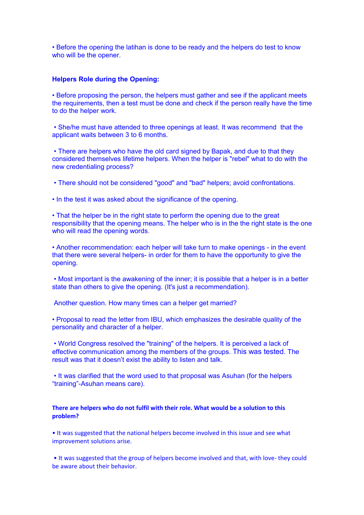• Before the opening the latihan is done to be ready and the helpers do test to know who will be the opener.

### **Helpers Role during the Opening:**

• Before proposing the person, the helpers must gather and see if the applicant meets the requirements, then a test must be done and check if the person really have the time to do the helper work.

• She/he must have attended to three openings at least. It was recommend that the applicant waits between 3 to 6 months.

• There are helpers who have the old card signed by Bapak, and due to that they considered themselves lifetime helpers. When the helper is "rebel" what to do with the new credentialing process?

• There should not be considered "good" and "bad" helpers; avoid confrontations.

• In the test it was asked about the significance of the opening.

• That the helper be in the right state to perform the opening due to the great responsibility that the opening means. The helper who is in the the right state is the one who will read the opening words.

• Another recommendation: each helper will take turn to make openings - in the event that there were several helpers- in order for them to have the opportunity to give the opening.

• Most important is the awakening of the inner; it is possible that a helper is in a better state than others to give the opening. (It's just a recommendation).

Another question. How many times can a helper get married?

• Proposal to read the letter from IBU, which emphasizes the desirable quality of the personality and character of a helper.

• World Congress resolved the "training" of the helpers. It is perceived a lack of effective communication among the members of the groups. This was tested. The result was that it doesn't exist the ability to listen and talk.

• It was clarified that the word used to that proposal was Asuhan (for the helpers "training"-Asuhan means care).

## **There are helpers who do not fulfil with their role. What would be a solution to this problem?**

• It was suggested that the national helpers become involved in this issue and see what improvement solutions arise.

• It was suggested that the group of helpers become involved and that, with love- they could be aware about their behavior.